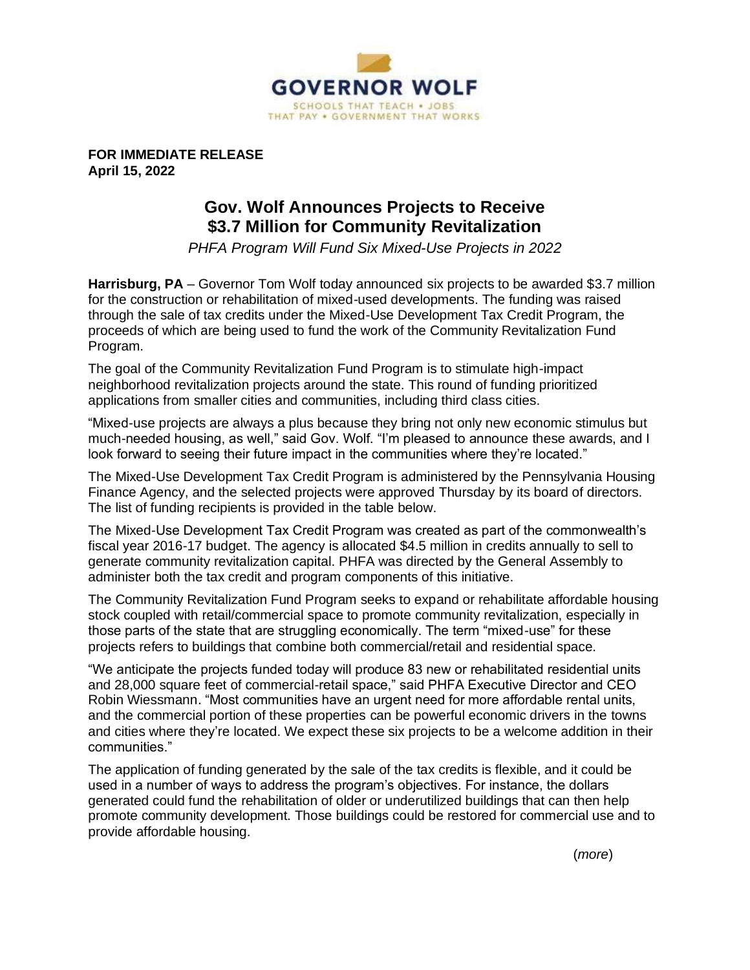

**FOR IMMEDIATE RELEASE April 15, 2022**

## **Gov. Wolf Announces Projects to Receive \$3.7 Million for Community Revitalization**

*PHFA Program Will Fund Six Mixed-Use Projects in 2022*

**Harrisburg, PA** – Governor Tom Wolf today announced six projects to be awarded \$3.7 million for the construction or rehabilitation of mixed-used developments. The funding was raised through the sale of tax credits under the Mixed-Use Development Tax Credit Program, the proceeds of which are being used to fund the work of the Community Revitalization Fund Program.

The goal of the Community Revitalization Fund Program is to stimulate high-impact neighborhood revitalization projects around the state. This round of funding prioritized applications from smaller cities and communities, including third class cities.

"Mixed-use projects are always a plus because they bring not only new economic stimulus but much-needed housing, as well," said Gov. Wolf. "I'm pleased to announce these awards, and I look forward to seeing their future impact in the communities where they're located."

The Mixed-Use Development Tax Credit Program is administered by the Pennsylvania Housing Finance Agency, and the selected projects were approved Thursday by its board of directors. The list of funding recipients is provided in the table below.

The Mixed-Use Development Tax Credit Program was created as part of the commonwealth's fiscal year 2016-17 budget. The agency is allocated \$4.5 million in credits annually to sell to generate community revitalization capital. PHFA was directed by the General Assembly to administer both the tax credit and program components of this initiative.

The Community Revitalization Fund Program seeks to expand or rehabilitate affordable housing stock coupled with retail/commercial space to promote community revitalization, especially in those parts of the state that are struggling economically. The term "mixed-use" for these projects refers to buildings that combine both commercial/retail and residential space.

"We anticipate the projects funded today will produce 83 new or rehabilitated residential units and 28,000 square feet of commercial-retail space," said PHFA Executive Director and CEO Robin Wiessmann. "Most communities have an urgent need for more affordable rental units, and the commercial portion of these properties can be powerful economic drivers in the towns and cities where they're located. We expect these six projects to be a welcome addition in their communities."

The application of funding generated by the sale of the tax credits is flexible, and it could be used in a number of ways to address the program's objectives. For instance, the dollars generated could fund the rehabilitation of older or underutilized buildings that can then help promote community development. Those buildings could be restored for commercial use and to provide affordable housing.

(*more*)